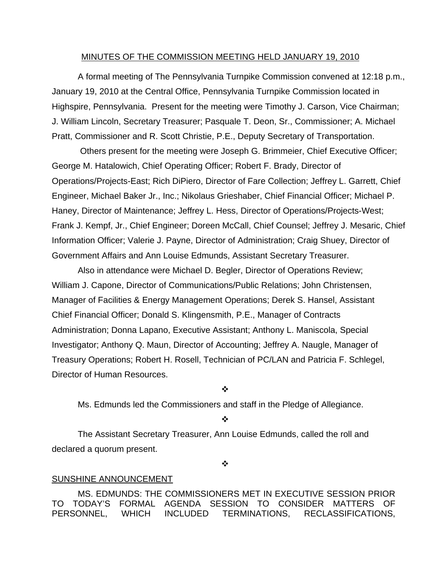#### MINUTES OF THE COMMISSION MEETING HELD JANUARY 19, 2010

 A formal meeting of The Pennsylvania Turnpike Commission convened at 12:18 p.m., January 19, 2010 at the Central Office, Pennsylvania Turnpike Commission located in Highspire, Pennsylvania. Present for the meeting were Timothy J. Carson, Vice Chairman; J. William Lincoln, Secretary Treasurer; Pasquale T. Deon, Sr., Commissioner; A. Michael Pratt, Commissioner and R. Scott Christie, P.E., Deputy Secretary of Transportation.

 Others present for the meeting were Joseph G. Brimmeier, Chief Executive Officer; George M. Hatalowich, Chief Operating Officer; Robert F. Brady, Director of Operations/Projects-East; Rich DiPiero, Director of Fare Collection; Jeffrey L. Garrett, Chief Engineer, Michael Baker Jr., Inc.; Nikolaus Grieshaber, Chief Financial Officer; Michael P. Haney, Director of Maintenance; Jeffrey L. Hess, Director of Operations/Projects-West; Frank J. Kempf, Jr., Chief Engineer; Doreen McCall, Chief Counsel; Jeffrey J. Mesaric, Chief Information Officer; Valerie J. Payne, Director of Administration; Craig Shuey, Director of Government Affairs and Ann Louise Edmunds, Assistant Secretary Treasurer.

Also in attendance were Michael D. Begler, Director of Operations Review; William J. Capone, Director of Communications/Public Relations; John Christensen, Manager of Facilities & Energy Management Operations; Derek S. Hansel, Assistant Chief Financial Officer; Donald S. Klingensmith, P.E., Manager of Contracts Administration; Donna Lapano, Executive Assistant; Anthony L. Maniscola, Special Investigator; Anthony Q. Maun, Director of Accounting; Jeffrey A. Naugle, Manager of Treasury Operations; Robert H. Rosell, Technician of PC/LAN and Patricia F. Schlegel, Director of Human Resources.

❖

Ms. Edmunds led the Commissioners and staff in the Pledge of Allegiance.

❖

The Assistant Secretary Treasurer, Ann Louise Edmunds, called the roll and declared a quorum present.

 $\ddot{\cdot}$ 

#### SUNSHINE ANNOUNCEMENT

MS. EDMUNDS: THE COMMISSIONERS MET IN EXECUTIVE SESSION PRIOR TO TODAY'S FORMAL AGENDA SESSION TO CONSIDER MATTERS OF PERSONNEL, WHICH INCLUDED TERMINATIONS, RECLASSIFICATIONS,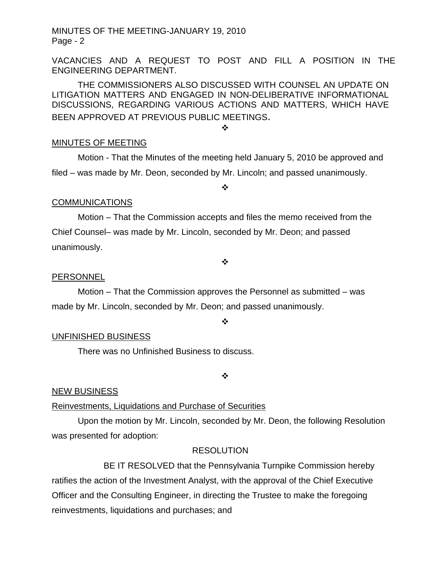VACANCIES AND A REQUEST TO POST AND FILL A POSITION IN THE ENGINEERING DEPARTMENT.

THE COMMISSIONERS ALSO DISCUSSED WITH COUNSEL AN UPDATE ON LITIGATION MATTERS AND ENGAGED IN NON-DELIBERATIVE INFORMATIONAL DISCUSSIONS, REGARDING VARIOUS ACTIONS AND MATTERS, WHICH HAVE BEEN APPROVED AT PREVIOUS PUBLIC MEETINGS.

❖

### MINUTES OF MEETING

Motion - That the Minutes of the meeting held January 5, 2010 be approved and filed – was made by Mr. Deon, seconded by Mr. Lincoln; and passed unanimously.

❖

## **COMMUNICATIONS**

 Motion – That the Commission accepts and files the memo received from the Chief Counsel– was made by Mr. Lincoln, seconded by Mr. Deon; and passed unanimously.

#### ❖

### PERSONNEL

 Motion – That the Commission approves the Personnel as submitted – was made by Mr. Lincoln, seconded by Mr. Deon; and passed unanimously.

❖

### UNFINISHED BUSINESS

There was no Unfinished Business to discuss.

❖

### NEW BUSINESS

### Reinvestments, Liquidations and Purchase of Securities

 Upon the motion by Mr. Lincoln, seconded by Mr. Deon, the following Resolution was presented for adoption:

### **RESOLUTION**

 BE IT RESOLVED that the Pennsylvania Turnpike Commission hereby ratifies the action of the Investment Analyst, with the approval of the Chief Executive Officer and the Consulting Engineer, in directing the Trustee to make the foregoing reinvestments, liquidations and purchases; and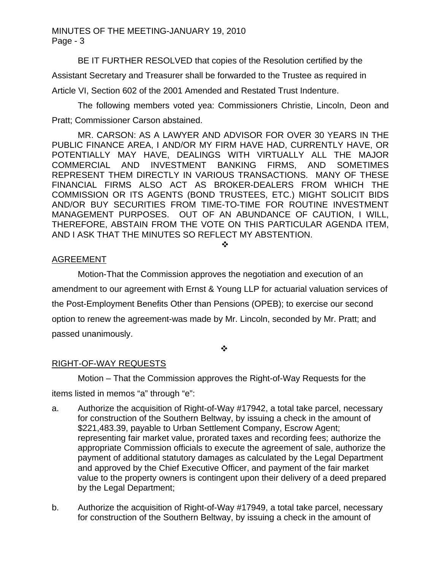BE IT FURTHER RESOLVED that copies of the Resolution certified by the

Assistant Secretary and Treasurer shall be forwarded to the Trustee as required in

Article VI, Section 602 of the 2001 Amended and Restated Trust Indenture.

The following members voted yea: Commissioners Christie, Lincoln, Deon and Pratt; Commissioner Carson abstained.

MR. CARSON: AS A LAWYER AND ADVISOR FOR OVER 30 YEARS IN THE PUBLIC FINANCE AREA, I AND/OR MY FIRM HAVE HAD, CURRENTLY HAVE, OR POTENTIALLY MAY HAVE, DEALINGS WITH VIRTUALLY ALL THE MAJOR COMMERCIAL AND INVESTMENT BANKING FIRMS, AND SOMETIMES REPRESENT THEM DIRECTLY IN VARIOUS TRANSACTIONS. MANY OF THESE FINANCIAL FIRMS ALSO ACT AS BROKER-DEALERS FROM WHICH THE COMMISSION OR ITS AGENTS (BOND TRUSTEES, ETC.) MIGHT SOLICIT BIDS AND/OR BUY SECURITIES FROM TIME-TO-TIME FOR ROUTINE INVESTMENT MANAGEMENT PURPOSES. OUT OF AN ABUNDANCE OF CAUTION, I WILL, THEREFORE, ABSTAIN FROM THE VOTE ON THIS PARTICULAR AGENDA ITEM, AND I ASK THAT THE MINUTES SO REFLECT MY ABSTENTION.

❖

### AGREEMENT

Motion-That the Commission approves the negotiation and execution of an amendment to our agreement with Ernst & Young LLP for actuarial valuation services of the Post-Employment Benefits Other than Pensions (OPEB); to exercise our second option to renew the agreement-was made by Mr. Lincoln, seconded by Mr. Pratt; and passed unanimously.

 $\ddot{\bullet}$ 

### RIGHT-OF-WAY REQUESTS

 Motion – That the Commission approves the Right-of-Way Requests for the items listed in memos "a" through "e":

- a. Authorize the acquisition of Right-of-Way #17942, a total take parcel, necessary for construction of the Southern Beltway, by issuing a check in the amount of \$221,483.39, payable to Urban Settlement Company, Escrow Agent; representing fair market value, prorated taxes and recording fees; authorize the appropriate Commission officials to execute the agreement of sale, authorize the payment of additional statutory damages as calculated by the Legal Department and approved by the Chief Executive Officer, and payment of the fair market value to the property owners is contingent upon their delivery of a deed prepared by the Legal Department;
- b. Authorize the acquisition of Right-of-Way #17949, a total take parcel, necessary for construction of the Southern Beltway, by issuing a check in the amount of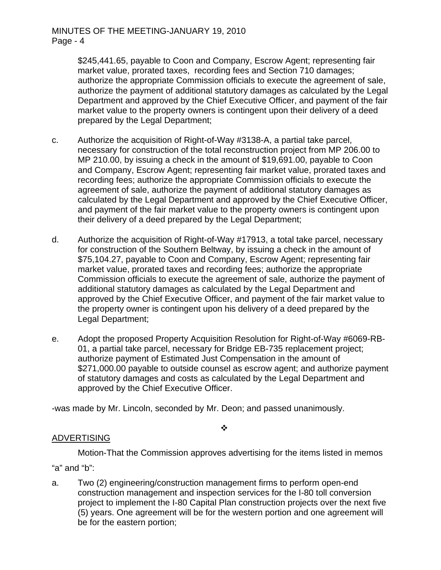\$245,441.65, payable to Coon and Company, Escrow Agent; representing fair market value, prorated taxes, recording fees and Section 710 damages; authorize the appropriate Commission officials to execute the agreement of sale, authorize the payment of additional statutory damages as calculated by the Legal Department and approved by the Chief Executive Officer, and payment of the fair market value to the property owners is contingent upon their delivery of a deed prepared by the Legal Department;

- c. Authorize the acquisition of Right-of-Way #3138-A, a partial take parcel, necessary for construction of the total reconstruction project from MP 206.00 to MP 210.00, by issuing a check in the amount of \$19,691.00, payable to Coon and Company, Escrow Agent; representing fair market value, prorated taxes and recording fees; authorize the appropriate Commission officials to execute the agreement of sale, authorize the payment of additional statutory damages as calculated by the Legal Department and approved by the Chief Executive Officer, and payment of the fair market value to the property owners is contingent upon their delivery of a deed prepared by the Legal Department;
- d. Authorize the acquisition of Right-of-Way #17913, a total take parcel, necessary for construction of the Southern Beltway, by issuing a check in the amount of \$75,104.27, payable to Coon and Company, Escrow Agent; representing fair market value, prorated taxes and recording fees; authorize the appropriate Commission officials to execute the agreement of sale, authorize the payment of additional statutory damages as calculated by the Legal Department and approved by the Chief Executive Officer, and payment of the fair market value to the property owner is contingent upon his delivery of a deed prepared by the Legal Department;
- e. Adopt the proposed Property Acquisition Resolution for Right-of-Way #6069-RB-01, a partial take parcel, necessary for Bridge EB-735 replacement project; authorize payment of Estimated Just Compensation in the amount of \$271,000.00 payable to outside counsel as escrow agent; and authorize payment of statutory damages and costs as calculated by the Legal Department and approved by the Chief Executive Officer.

-was made by Mr. Lincoln, seconded by Mr. Deon; and passed unanimously.

#### ❖

### ADVERTISING

Motion-That the Commission approves advertising for the items listed in memos "a" and "b":

a. Two (2) engineering/construction management firms to perform open-end construction management and inspection services for the I-80 toll conversion project to implement the I-80 Capital Plan construction projects over the next five (5) years. One agreement will be for the western portion and one agreement will be for the eastern portion;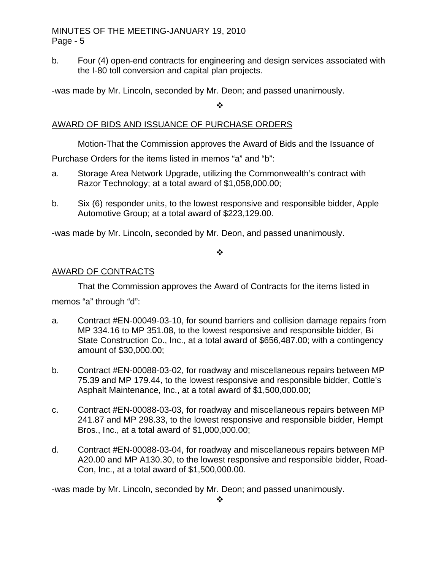b. Four (4) open-end contracts for engineering and design services associated with the I-80 toll conversion and capital plan projects.

-was made by Mr. Lincoln, seconded by Mr. Deon; and passed unanimously.

 $\frac{1}{2}$ 

## AWARD OF BIDS AND ISSUANCE OF PURCHASE ORDERS

Motion-That the Commission approves the Award of Bids and the Issuance of

Purchase Orders for the items listed in memos "a" and "b":

- a. Storage Area Network Upgrade, utilizing the Commonwealth's contract with Razor Technology; at a total award of \$1,058,000.00;
- b. Six (6) responder units, to the lowest responsive and responsible bidder, Apple Automotive Group; at a total award of \$223,129.00.

-was made by Mr. Lincoln, seconded by Mr. Deon, and passed unanimously.

❖

### AWARD OF CONTRACTS

 That the Commission approves the Award of Contracts for the items listed in memos "a" through "d":

- a. Contract #EN-00049-03-10, for sound barriers and collision damage repairs from MP 334.16 to MP 351.08, to the lowest responsive and responsible bidder, Bi State Construction Co., Inc., at a total award of \$656,487.00; with a contingency amount of \$30,000.00;
- b. Contract #EN-00088-03-02, for roadway and miscellaneous repairs between MP 75.39 and MP 179.44, to the lowest responsive and responsible bidder, Cottle's Asphalt Maintenance, Inc., at a total award of \$1,500,000.00;
- c. Contract #EN-00088-03-03, for roadway and miscellaneous repairs between MP 241.87 and MP 298.33, to the lowest responsive and responsible bidder, Hempt Bros., Inc., at a total award of \$1,000,000.00;
- d. Contract #EN-00088-03-04, for roadway and miscellaneous repairs between MP A20.00 and MP A130.30, to the lowest responsive and responsible bidder, Road-Con, Inc., at a total award of \$1,500,000.00.

-was made by Mr. Lincoln, seconded by Mr. Deon; and passed unanimously.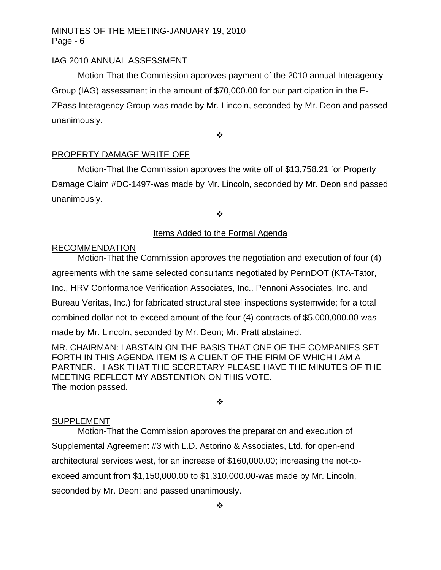#### IAG 2010 ANNUAL ASSESSMENT

 Motion-That the Commission approves payment of the 2010 annual Interagency Group (IAG) assessment in the amount of \$70,000.00 for our participation in the E-ZPass Interagency Group-was made by Mr. Lincoln, seconded by Mr. Deon and passed unanimously.

❖

#### PROPERTY DAMAGE WRITE-OFF

 Motion-That the Commission approves the write off of \$13,758.21 for Property Damage Claim #DC-1497-was made by Mr. Lincoln, seconded by Mr. Deon and passed unanimously.

 $\bullet$ 

#### Items Added to the Formal Agenda

#### **RECOMMENDATION**

Motion-That the Commission approves the negotiation and execution of four (4) agreements with the same selected consultants negotiated by PennDOT (KTA-Tator, Inc., HRV Conformance Verification Associates, Inc., Pennoni Associates, Inc. and Bureau Veritas, Inc.) for fabricated structural steel inspections systemwide; for a total combined dollar not-to-exceed amount of the four (4) contracts of \$5,000,000.00-was made by Mr. Lincoln, seconded by Mr. Deon; Mr. Pratt abstained.

MR. CHAIRMAN: I ABSTAIN ON THE BASIS THAT ONE OF THE COMPANIES SET FORTH IN THIS AGENDA ITEM IS A CLIENT OF THE FIRM OF WHICH I AM A PARTNER. I ASK THAT THE SECRETARY PLEASE HAVE THE MINUTES OF THE MEETING REFLECT MY ABSTENTION ON THIS VOTE. The motion passed.

❖

#### SUPPLEMENT

 Motion-That the Commission approves the preparation and execution of Supplemental Agreement #3 with L.D. Astorino & Associates, Ltd. for open-end architectural services west, for an increase of \$160,000.00; increasing the not-toexceed amount from \$1,150,000.00 to \$1,310,000.00-was made by Mr. Lincoln, seconded by Mr. Deon; and passed unanimously.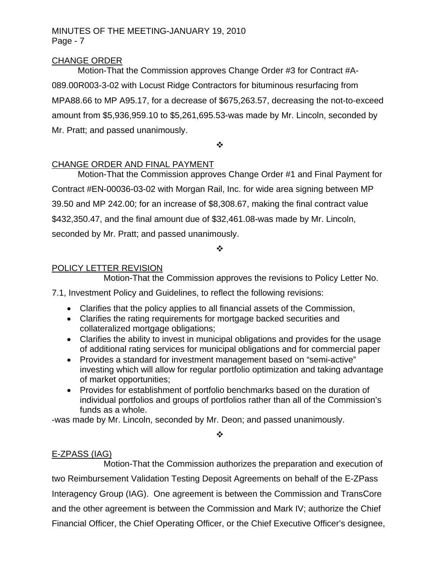## CHANGE ORDER

 Motion-That the Commission approves Change Order #3 for Contract #A-089.00R003-3-02 with Locust Ridge Contractors for bituminous resurfacing from MPA88.66 to MP A95.17, for a decrease of \$675,263.57, decreasing the not-to-exceed amount from \$5,936,959.10 to \$5,261,695.53-was made by Mr. Lincoln, seconded by Mr. Pratt; and passed unanimously.

 $\ddot{\cdot}$ 

## CHANGE ORDER AND FINAL PAYMENT

Motion-That the Commission approves Change Order #1 and Final Payment for Contract #EN-00036-03-02 with Morgan Rail, Inc. for wide area signing between MP 39.50 and MP 242.00; for an increase of \$8,308.67, making the final contract value \$432,350.47, and the final amount due of \$32,461.08-was made by Mr. Lincoln, seconded by Mr. Pratt; and passed unanimously.

❖

### POLICY LETTER REVISION

Motion-That the Commission approves the revisions to Policy Letter No.

7.1, Investment Policy and Guidelines, to reflect the following revisions:

- Clarifies that the policy applies to all financial assets of the Commission,
- Clarifies the rating requirements for mortgage backed securities and collateralized mortgage obligations;
- Clarifies the ability to invest in municipal obligations and provides for the usage of additional rating services for municipal obligations and for commercial paper
- Provides a standard for investment management based on "semi-active" investing which will allow for regular portfolio optimization and taking advantage of market opportunities;
- Provides for establishment of portfolio benchmarks based on the duration of individual portfolios and groups of portfolios rather than all of the Commission's funds as a whole.

-was made by Mr. Lincoln, seconded by Mr. Deon; and passed unanimously.

 $\cdot$ 

# E-ZPASS (IAG)

 Motion-That the Commission authorizes the preparation and execution of two Reimbursement Validation Testing Deposit Agreements on behalf of the E-ZPass Interagency Group (IAG). One agreement is between the Commission and TransCore and the other agreement is between the Commission and Mark IV; authorize the Chief Financial Officer, the Chief Operating Officer, or the Chief Executive Officer's designee,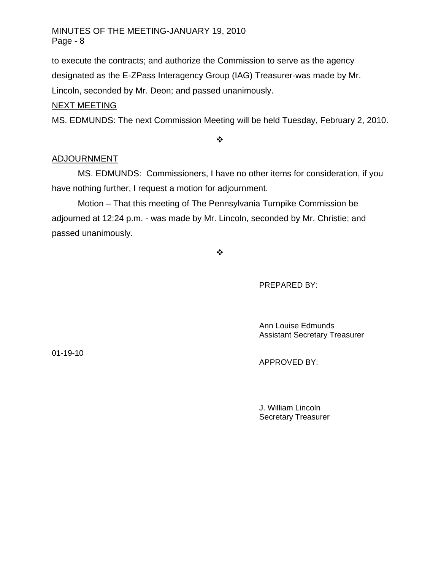to execute the contracts; and authorize the Commission to serve as the agency designated as the E-ZPass Interagency Group (IAG) Treasurer-was made by Mr. Lincoln, seconded by Mr. Deon; and passed unanimously.

## NEXT MEETING

MS. EDMUNDS: The next Commission Meeting will be held Tuesday, February 2, 2010.

 $\bullet^{\bullet}_{\bullet} \bullet$ 

### ADJOURNMENT

MS. EDMUNDS: Commissioners, I have no other items for consideration, if you have nothing further, I request a motion for adjournment.

Motion – That this meeting of The Pennsylvania Turnpike Commission be adjourned at 12:24 p.m. - was made by Mr. Lincoln, seconded by Mr. Christie; and passed unanimously.

 $\bullet^{\bullet}_{\bullet} \bullet$ 

PREPARED BY:

 Ann Louise Edmunds Assistant Secretary Treasurer

01-19-10

APPROVED BY:

 J. William Lincoln Secretary Treasurer